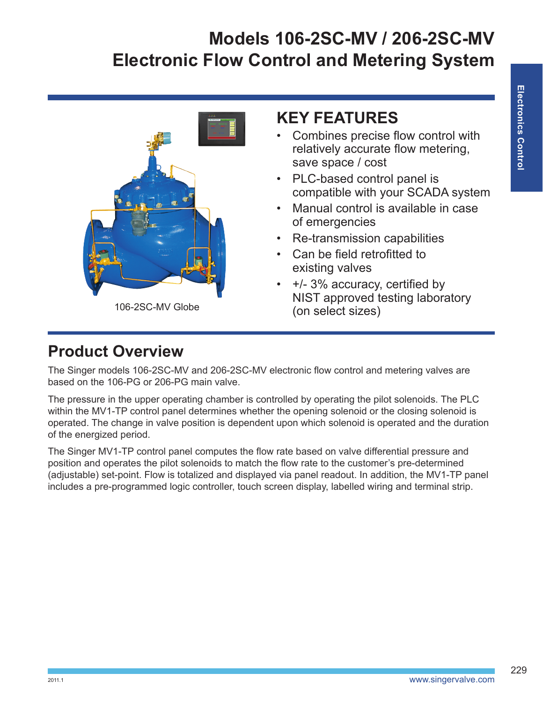

### **KEY FEATURES**

- Combines precise flow control with relatively accurate flow metering, save space / cost
- PLC-based control panel is compatible with your SCADA system
- Manual control is available in case of emergencies
- Re-transmission capabilities
- Can be field retrofitted to existing valves
- +/- 3% accuracy, certified by NIST approved testing laboratory

### **Product Overview**

The Singer models 106-2SC-MV and 206-2SC-MV electronic flow control and metering valves are based on the 106-PG or 206-PG main valve.

The pressure in the upper operating chamber is controlled by operating the pilot solenoids. The PLC within the MV1-TP control panel determines whether the opening solenoid or the closing solenoid is operated. The change in valve position is dependent upon which solenoid is operated and the duration of the energized period.

The Singer MV1-TP control panel computes the flow rate based on valve differential pressure and position and operates the pilot solenoids to match the flow rate to the customer's pre-determined (adjustable) set-point. Flow is totalized and displayed via panel readout. In addition, the MV1-TP panel includes a pre-programmed logic controller, touch screen display, labelled wiring and terminal strip.

229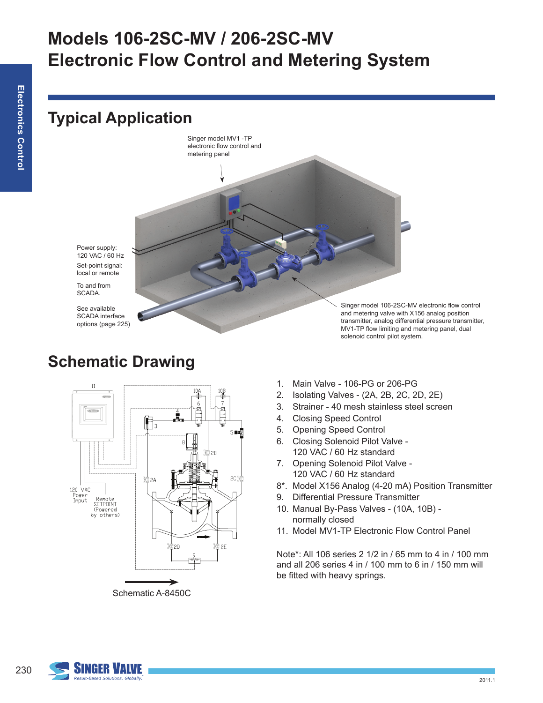### **Typical Application**

Singer model MV1 -TP electronic flow control and metering panel

Set-point signal: local or remote Power supply: 120 VAC / 60 Hz

To and from SCADA.

See available SCADA interface options (page 225)

**Schematic Drawing**

Singer model 106-2SC-MV electronic flow control and metering valve with X156 analog position transmitter, analog differential pressure transmitter, MV1-TP flow limiting and metering panel, dual solenoid control pilot system.



Schematic A-8450C

- 1. Main Valve 106-PG or 206-PG
- 2. Isolating Valves (2A, 2B, 2C, 2D, 2E)
- 3. Strainer 40 mesh stainless steel screen
- 4. Closing Speed Control
- 5. Opening Speed Control
- 6. Closing Solenoid Pilot Valve 120 VAC / 60 Hz standard
- 7. Opening Solenoid Pilot Valve 120 VAC / 60 Hz standard
- 8\*. Model X156 Analog (4-20 mA) Position Transmitter
- 9. Differential Pressure Transmitter
- 10. Manual By-Pass Valves (10A, 10B) normally closed
- 11. Model MV1-TP Electronic Flow Control Panel

Note\*: All 106 series 2 1/2 in / 65 mm to 4 in / 100 mm and all 206 series 4 in / 100 mm to 6 in / 150 mm will be fitted with heavy springs.

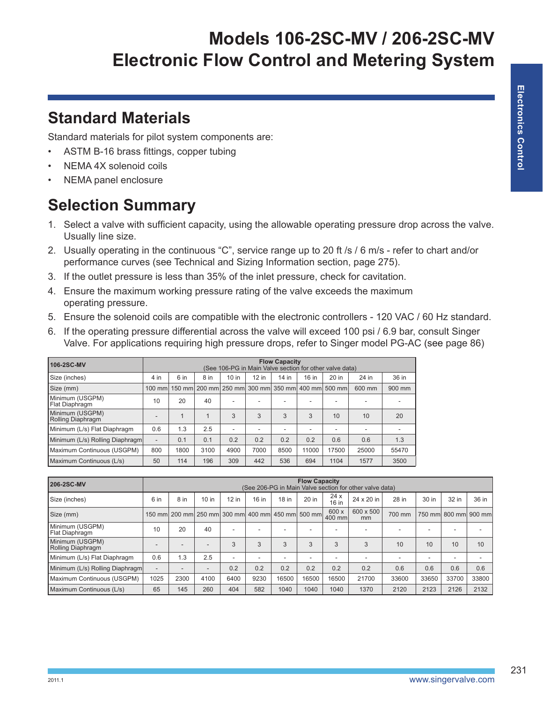### **Standard Materials**

Standard materials for pilot system components are:

- ASTM B-16 brass fittings, copper tubing
- NEMA 4X solenoid coils
- NEMA panel enclosure

## **Selection Summary**

- 1. Select a valve with sufficient capacity, using the allowable operating pressure drop across the valve. Usually line size.
- 2. Usually operating in the continuous "C", service range up to 20 ft /s / 6 m/s refer to chart and/or performance curves (see Technical and Sizing Information section, page 275).
- 3. If the outlet pressure is less than 35% of the inlet pressure, check for cavitation.
- 4. Ensure the maximum working pressure rating of the valve exceeds the maximum operating pressure.
- 5. Ensure the solenoid coils are compatible with the electronic controllers 120 VAC / 60 Hz standard.
- 6. If the operating pressure differential across the valve will exceed 100 psi / 6.9 bar, consult Singer Valve. For applications requiring high pressure drops, refer to Singer model PG-AC (see page 86)

| 106-2SC-MV                           | <b>Flow Capacity</b><br>(See 106-PG in Main Valve section for other valve data) |      |              |         |         |       |                                                  |         |        |        |
|--------------------------------------|---------------------------------------------------------------------------------|------|--------------|---------|---------|-------|--------------------------------------------------|---------|--------|--------|
| Size (inches)                        | 4 in                                                                            | 6 in | 8 in         | $10$ in | $12$ in | 14 in | 16 in                                            | $20$ in | 24 in  | 36 in  |
| Size (mm)                            | 100 mm                                                                          |      |              |         |         |       | 150 mm 200 mm 250 mm 300 mm 350 mm 400 mm 500 mm |         | 600 mm | 900 mm |
| Minimum (USGPM)<br>l Flat Diaphragm  | 10                                                                              | 20   | 40           | ۰       |         |       |                                                  |         |        |        |
| Minimum (USGPM)<br>Rolling Diaphragm |                                                                                 |      | $\mathbf{1}$ | 3       | 3       | 3     | 3                                                | 10      | 10     | 20     |
| Minimum (L/s) Flat Diaphragm         | 0.6                                                                             | 1.3  | 2.5          | $\sim$  |         |       |                                                  | ۰.      | ۰      |        |
| Minimum (L/s) Rolling Diaphragm      | $\overline{\phantom{0}}$                                                        | 0.1  | 0.1          | 0.2     | 0.2     | 0.2   | 0.2                                              | 0.6     | 0.6    | 1.3    |
| Maximum Continuous (USGPM)           | 800                                                                             | 1800 | 3100         | 4900    | 7000    | 8500  | 11000                                            | 17500   | 25000  | 55470  |
| Maximum Continuous (L/s)             | 50                                                                              | 114  | 196          | 309     | 442     | 536   | 694                                              | 1104    | 1577   | 3500   |

| 206-2SC-MV                           | <b>Flow Capacity</b><br>(See 206-PG in Main Valve section for other valve data) |                                                  |         |         |       |       |       |                 |                 |        |       |                          |       |
|--------------------------------------|---------------------------------------------------------------------------------|--------------------------------------------------|---------|---------|-------|-------|-------|-----------------|-----------------|--------|-------|--------------------------|-------|
| Size (inches)                        | 6 in                                                                            | 8 in                                             | $10$ in | $12$ in | 16 in | 18 in | 20 in | 24x<br>16 in    | 24 x 20 in      | 28 in  | 30 in | 32 in                    | 36 in |
| Size (mm)                            |                                                                                 | 150 mm 200 mm 250 mm 300 mm 400 mm 450 mm 500 mm |         |         |       |       |       | 600 x<br>400 mm | 600 x 500<br>mm | 700 mm |       | 750 mm 800 mm 900 mm     |       |
| Minimum (USGPM)<br>Flat Diaphragm    | 10                                                                              | 20                                               | 40      | -       | ۰     | ۰     | ۰     |                 | ۰               |        | ۰     | $\overline{\phantom{a}}$ |       |
| Minimum (USGPM)<br>Rolling Diaphragm | $\overline{\phantom{a}}$                                                        | $\overline{\phantom{a}}$                         |         | 3       | 3     | 3     | 3     | 3               | 3               | 10     | 10    | 10                       | 10    |
| Minimum (L/s) Flat Diaphragm         | 0.6                                                                             | 1.3                                              | 2.5     | -       | ۰     | ۰     | ۰     | ۰               | ۰               |        | ۰     | $\overline{\phantom{a}}$ |       |
| Minimum (L/s) Rolling Diaphragm      | $\overline{\phantom{a}}$                                                        | $\overline{\phantom{a}}$                         |         | 0.2     | 0.2   | 0.2   | 0.2   | 0.2             | 0.2             | 0.6    | 0.6   | 0.6                      | 0.6   |
| Maximum Continuous (USGPM)           | 1025                                                                            | 2300                                             | 4100    | 6400    | 9230  | 16500 | 16500 | 16500           | 21700           | 33600  | 33650 | 33700                    | 33800 |
| Maximum Continuous (L/s)             | 65                                                                              | 145                                              | 260     | 404     | 582   | 1040  | 1040  | 1040            | 1370            | 2120   | 2123  | 2126                     | 2132  |